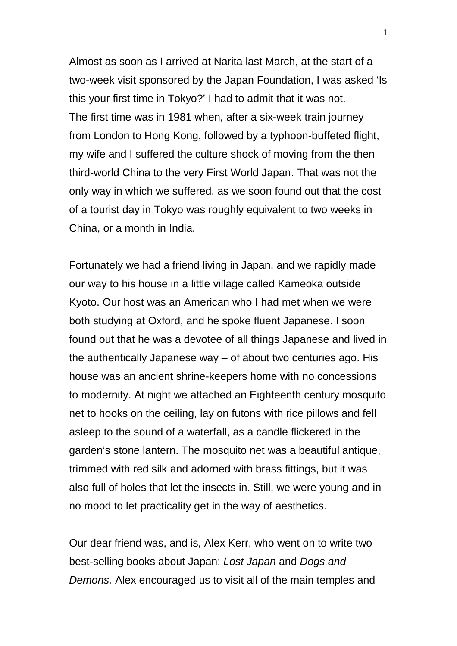Almost as soon as I arrived at Narita last March, at the start of a two-week visit sponsored by the Japan Foundation, I was asked 'Is this your first time in Tokyo?' I had to admit that it was not. The first time was in 1981 when, after a six-week train journey from London to Hong Kong, followed by a typhoon-buffeted flight, my wife and I suffered the culture shock of moving from the then third-world China to the very First World Japan. That was not the only way in which we suffered, as we soon found out that the cost of a tourist day in Tokyo was roughly equivalent to two weeks in China, or a month in India.

Fortunately we had a friend living in Japan, and we rapidly made our way to his house in a little village called Kameoka outside Kyoto. Our host was an American who I had met when we were both studying at Oxford, and he spoke fluent Japanese. I soon found out that he was a devotee of all things Japanese and lived in the authentically Japanese way – of about two centuries ago. His house was an ancient shrine-keepers home with no concessions to modernity. At night we attached an Eighteenth century mosquito net to hooks on the ceiling, lay on futons with rice pillows and fell asleep to the sound of a waterfall, as a candle flickered in the garden's stone lantern. The mosquito net was a beautiful antique, trimmed with red silk and adorned with brass fittings, but it was also full of holes that let the insects in. Still, we were young and in no mood to let practicality get in the way of aesthetics.

Our dear friend was, and is, Alex Kerr, who went on to write two best-selling books about Japan: Lost Japan and Dogs and Demons. Alex encouraged us to visit all of the main temples and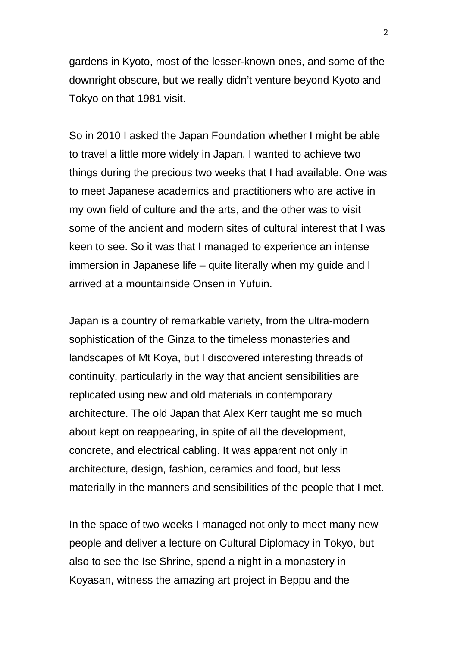gardens in Kyoto, most of the lesser-known ones, and some of the downright obscure, but we really didn't venture beyond Kyoto and Tokyo on that 1981 visit.

So in 2010 I asked the Japan Foundation whether I might be able to travel a little more widely in Japan. I wanted to achieve two things during the precious two weeks that I had available. One was to meet Japanese academics and practitioners who are active in my own field of culture and the arts, and the other was to visit some of the ancient and modern sites of cultural interest that I was keen to see. So it was that I managed to experience an intense immersion in Japanese life – quite literally when my guide and I arrived at a mountainside Onsen in Yufuin.

Japan is a country of remarkable variety, from the ultra-modern sophistication of the Ginza to the timeless monasteries and landscapes of Mt Koya, but I discovered interesting threads of continuity, particularly in the way that ancient sensibilities are replicated using new and old materials in contemporary architecture. The old Japan that Alex Kerr taught me so much about kept on reappearing, in spite of all the development, concrete, and electrical cabling. It was apparent not only in architecture, design, fashion, ceramics and food, but less materially in the manners and sensibilities of the people that I met.

In the space of two weeks I managed not only to meet many new people and deliver a lecture on Cultural Diplomacy in Tokyo, but also to see the Ise Shrine, spend a night in a monastery in Koyasan, witness the amazing art project in Beppu and the